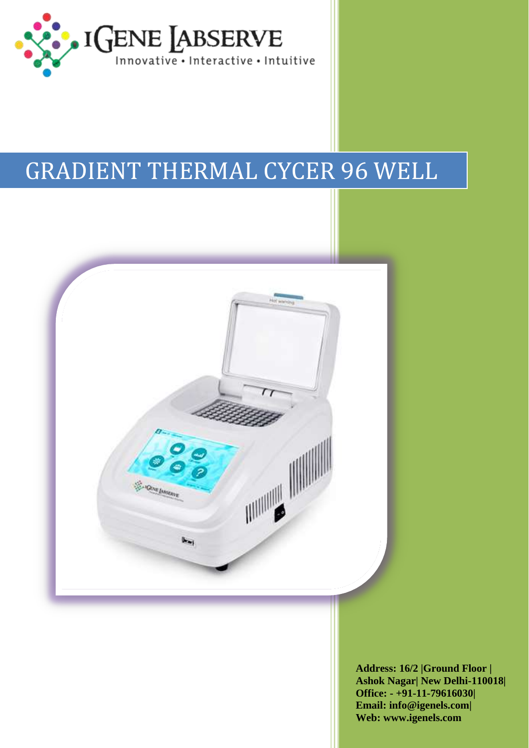

## GRADIENT THERMAL CYCER 96 WELL



**Address: 16/2 |Ground Floor | Ashok Nagar| New Delhi-110018| Office: - +91-11-79616030| Email: info@igenels.com| Web: www.igenels.com**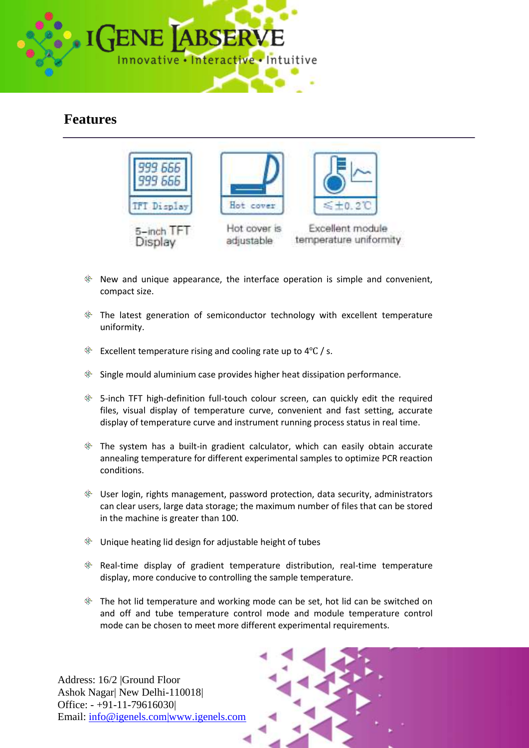

## **Features**



Display



Hot cover is adjustable

Excellent module temperature uniformity

 $\Omega$ 

- $\hat{\mathcal{R}}$  New and unique appearance, the interface operation is simple and convenient, compact size.
- $*$  The latest generation of semiconductor technology with excellent temperature uniformity.
- Excellent temperature rising and cooling rate up to 4℃ / s. ÷.
- $\frac{1}{2}$  Single mould aluminium case provides higher heat dissipation performance.
- $*$  5-inch TFT high-definition full-touch colour screen, can quickly edit the required files, visual display of temperature curve, convenient and fast setting, accurate display of temperature curve and instrument running process status in real time.
- $*$  The system has a built-in gradient calculator, which can easily obtain accurate annealing temperature for different experimental samples to optimize PCR reaction conditions.
- User login, rights management, password protection, data security, administrators can clear users, large data storage; the maximum number of files that can be stored in the machine is greater than 100.
- $\frac{4}{3}$  Unique heating lid design for adjustable height of tubes
- $*$  Real-time display of gradient temperature distribution, real-time temperature display, more conducive to controlling the sample temperature.
- $*$  The hot lid temperature and working mode can be set, hot lid can be switched on and off and tube temperature control mode and module temperature control mode can be chosen to meet more different experimental requirements.

Address: 16/2 |Ground Floor Ashok Nagar| New Delhi-110018| Office: - +91-11-79616030| Email: [info@igenels.com|www.igenels.com](mailto:info@igenels.com%7C)